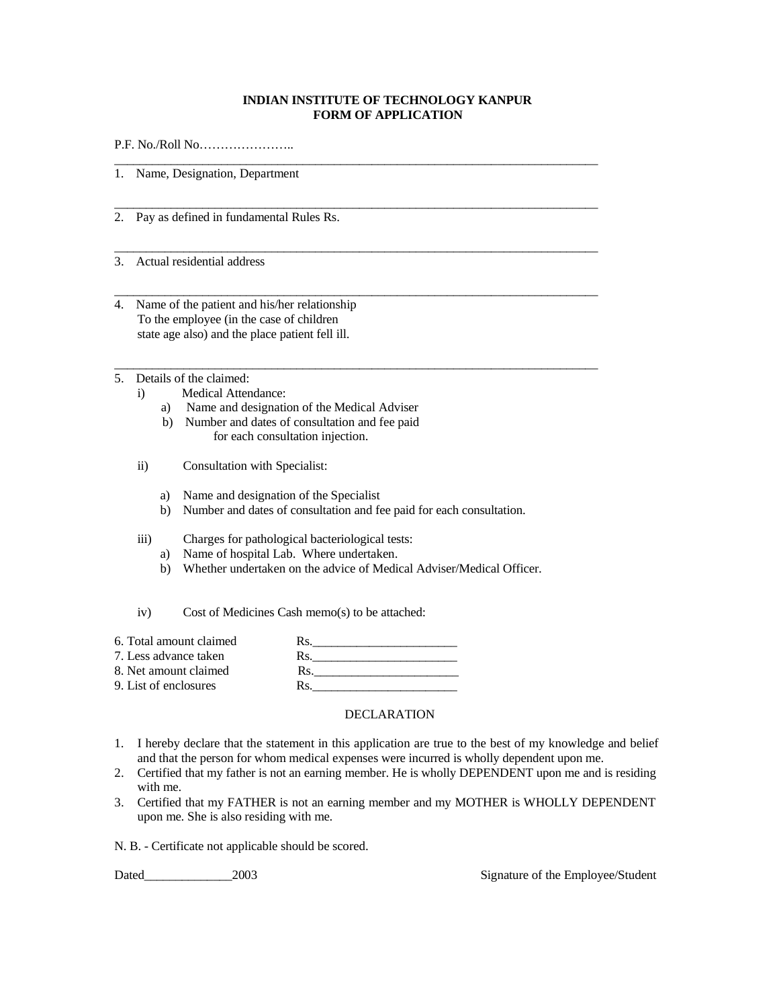## **INDIAN INSTITUTE OF TECHNOLOGY KANPUR FORM OF APPLICATION**

\_\_\_\_\_\_\_\_\_\_\_\_\_\_\_\_\_\_\_\_\_\_\_\_\_\_\_\_\_\_\_\_\_\_\_\_\_\_\_\_\_\_\_\_\_\_\_\_\_\_\_\_\_\_\_\_\_\_\_\_\_\_\_\_\_\_\_\_\_\_\_\_\_\_\_\_\_

\_\_\_\_\_\_\_\_\_\_\_\_\_\_\_\_\_\_\_\_\_\_\_\_\_\_\_\_\_\_\_\_\_\_\_\_\_\_\_\_\_\_\_\_\_\_\_\_\_\_\_\_\_\_\_\_\_\_\_\_\_\_\_\_\_\_\_\_\_\_\_\_\_\_\_\_\_

\_\_\_\_\_\_\_\_\_\_\_\_\_\_\_\_\_\_\_\_\_\_\_\_\_\_\_\_\_\_\_\_\_\_\_\_\_\_\_\_\_\_\_\_\_\_\_\_\_\_\_\_\_\_\_\_\_\_\_\_\_\_\_\_\_\_\_\_\_\_\_\_\_\_\_\_\_

\_\_\_\_\_\_\_\_\_\_\_\_\_\_\_\_\_\_\_\_\_\_\_\_\_\_\_\_\_\_\_\_\_\_\_\_\_\_\_\_\_\_\_\_\_\_\_\_\_\_\_\_\_\_\_\_\_\_\_\_\_\_\_\_\_\_\_\_\_\_\_\_\_\_\_\_\_

\_\_\_\_\_\_\_\_\_\_\_\_\_\_\_\_\_\_\_\_\_\_\_\_\_\_\_\_\_\_\_\_\_\_\_\_\_\_\_\_\_\_\_\_\_\_\_\_\_\_\_\_\_\_\_\_\_\_\_\_\_\_\_\_\_\_\_\_\_\_\_\_\_\_\_\_\_

P.F. No./Roll No…………………..

1. Name, Designation, Department

- 2. Pay as defined in fundamental Rules Rs.
- 3. Actual residential address
- 4. Name of the patient and his/her relationship To the employee (in the case of children state age also) and the place patient fell ill.
- 5. Details of the claimed:
	- i) Medical Attendance:
		- a) Name and designation of the Medical Adviser
		- b) Number and dates of consultation and fee paid for each consultation injection.
	- ii) Consultation with Specialist:
		- a) Name and designation of the Specialist
		- b) Number and dates of consultation and fee paid for each consultation.
	- iii) Charges for pathological bacteriological tests:
		- a) Name of hospital Lab. Where undertaken.
		- b) Whether undertaken on the advice of Medical Adviser/Medical Officer.

iv) Cost of Medicines Cash memo(s) to be attached:

| 6. Total amount claimed | Rs |
|-------------------------|----|
| 7. Less advance taken   | Rs |
| 8. Net amount claimed   | Rs |
| 9. List of enclosures   | Rs |

## DECLARATION

- 1. I hereby declare that the statement in this application are true to the best of my knowledge and belief and that the person for whom medical expenses were incurred is wholly dependent upon me.
- 2. Certified that my father is not an earning member. He is wholly DEPENDENT upon me and is residing with me.
- 3. Certified that my FATHER is not an earning member and my MOTHER is WHOLLY DEPENDENT upon me. She is also residing with me.

N. B. - Certificate not applicable should be scored.

Dated\_\_\_\_\_\_\_\_\_\_\_\_\_\_2003 Signature of the Employee/Student